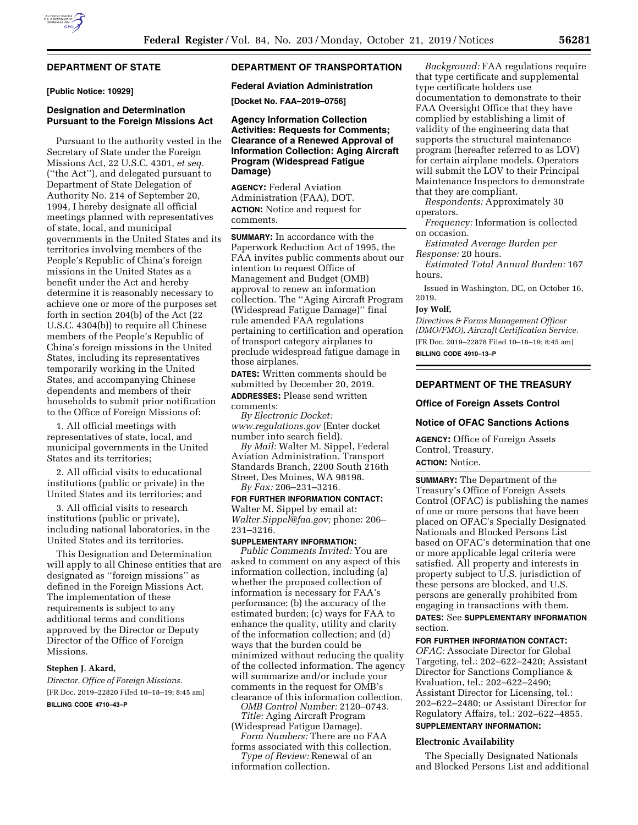

# **DEPARTMENT OF STATE**

**[Public Notice: 10929]** 

## **Designation and Determination Pursuant to the Foreign Missions Act**

Pursuant to the authority vested in the Secretary of State under the Foreign Missions Act, 22 U.S.C. 4301, *et seq.*  (''the Act''), and delegated pursuant to Department of State Delegation of Authority No. 214 of September 20, 1994, I hereby designate all official meetings planned with representatives of state, local, and municipal governments in the United States and its territories involving members of the People's Republic of China's foreign missions in the United States as a benefit under the Act and hereby determine it is reasonably necessary to achieve one or more of the purposes set forth in section 204(b) of the Act (22 U.S.C. 4304(b)) to require all Chinese members of the People's Republic of China's foreign missions in the United States, including its representatives temporarily working in the United States, and accompanying Chinese dependents and members of their households to submit prior notification to the Office of Foreign Missions of:

1. All official meetings with representatives of state, local, and municipal governments in the United States and its territories;

2. All official visits to educational institutions (public or private) in the United States and its territories; and

3. All official visits to research institutions (public or private), including national laboratories, in the United States and its territories.

This Designation and Determination will apply to all Chinese entities that are designated as ''foreign missions'' as defined in the Foreign Missions Act. The implementation of these requirements is subject to any additional terms and conditions approved by the Director or Deputy Director of the Office of Foreign Missions.

# **Stephen J. Akard,**

*Director, Office of Foreign Missions.*  [FR Doc. 2019–22820 Filed 10–18–19; 8:45 am]

# **BILLING CODE 4710–43–P**

## **DEPARTMENT OF TRANSPORTATION**

### **Federal Aviation Administration**

**[Docket No. FAA–2019–0756]** 

# **Agency Information Collection Activities: Requests for Comments; Clearance of a Renewed Approval of Information Collection: Aging Aircraft Program (Widespread Fatigue Damage)**

**AGENCY:** Federal Aviation Administration (FAA), DOT. **ACTION:** Notice and request for comments.

**SUMMARY:** In accordance with the Paperwork Reduction Act of 1995, the FAA invites public comments about our intention to request Office of Management and Budget (OMB) approval to renew an information collection. The ''Aging Aircraft Program (Widespread Fatigue Damage)'' final rule amended FAA regulations pertaining to certification and operation of transport category airplanes to preclude widespread fatigue damage in those airplanes.

**DATES:** Written comments should be submitted by December 20, 2019. **ADDRESSES:** Please send written comments:

*By Electronic Docket: [www.regulations.gov](http://www.regulations.gov)* (Enter docket number into search field).

*By Mail:* Walter M. Sippel, Federal Aviation Administration, Transport Standards Branch, 2200 South 216th Street, Des Moines, WA 98198. *By Fax:* 206–231–3216.

**FOR FURTHER INFORMATION CONTACT:** 

Walter M. Sippel by email at: *[Walter.Sippel@faa.gov;](mailto:Walter.Sippel@faa.gov)* phone: 206– 231–3216.

## **SUPPLEMENTARY INFORMATION:**

*Public Comments Invited:* You are asked to comment on any aspect of this information collection, including (a) whether the proposed collection of information is necessary for FAA's performance; (b) the accuracy of the estimated burden; (c) ways for FAA to enhance the quality, utility and clarity of the information collection; and (d) ways that the burden could be minimized without reducing the quality of the collected information. The agency will summarize and/or include your comments in the request for OMB's clearance of this information collection.

*OMB Control Number:* 2120–0743. *Title:* Aging Aircraft Program

(Widespread Fatigue Damage). *Form Numbers:* There are no FAA forms associated with this collection.

*Type of Review:* Renewal of an information collection.

*Background:* FAA regulations require that type certificate and supplemental type certificate holders use documentation to demonstrate to their FAA Oversight Office that they have complied by establishing a limit of validity of the engineering data that supports the structural maintenance program (hereafter referred to as LOV) for certain airplane models. Operators will submit the LOV to their Principal Maintenance Inspectors to demonstrate that they are compliant.

*Respondents:* Approximately 30 operators.

*Frequency:* Information is collected on occasion.

*Estimated Average Burden per Response:* 20 hours.

*Estimated Total Annual Burden:* 167 hours.

Issued in Washington, DC, on October 16, 2019.

### **Joy Wolf,**

*Directives & Forms Management Officer (DMO/FMO), Aircraft Certification Service.*  [FR Doc. 2019–22878 Filed 10–18–19; 8:45 am] **BILLING CODE 4910–13–P** 

# **DEPARTMENT OF THE TREASURY**

### **Office of Foreign Assets Control**

### **Notice of OFAC Sanctions Actions**

**AGENCY:** Office of Foreign Assets Control, Treasury. **ACTION:** Notice.

**SUMMARY:** The Department of the Treasury's Office of Foreign Assets Control (OFAC) is publishing the names of one or more persons that have been placed on OFAC's Specially Designated Nationals and Blocked Persons List based on OFAC's determination that one or more applicable legal criteria were satisfied. All property and interests in property subject to U.S. jurisdiction of these persons are blocked, and U.S. persons are generally prohibited from engaging in transactions with them.

**DATES:** See **SUPPLEMENTARY INFORMATION** section.

**FOR FURTHER INFORMATION CONTACT:** 

*OFAC:* Associate Director for Global Targeting, tel.: 202–622–2420; Assistant Director for Sanctions Compliance & Evaluation, tel.: 202–622–2490; Assistant Director for Licensing, tel.: 202–622–2480; or Assistant Director for Regulatory Affairs, tel.: 202–622–4855.

# **SUPPLEMENTARY INFORMATION:**

## **Electronic Availability**

The Specially Designated Nationals and Blocked Persons List and additional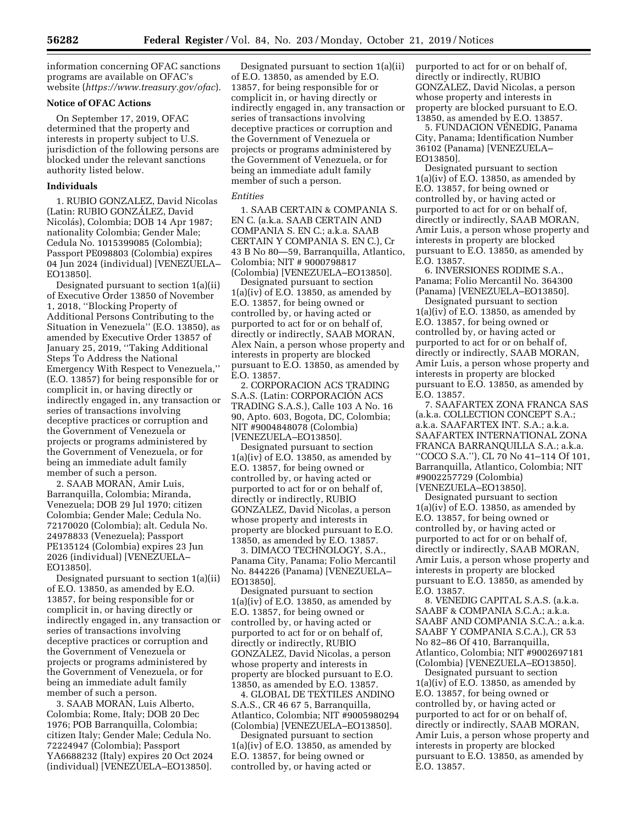information concerning OFAC sanctions programs are available on OFAC's website (*<https://www.treasury.gov/ofac>*).

## **Notice of OFAC Actions**

On September 17, 2019, OFAC determined that the property and interests in property subject to U.S. jurisdiction of the following persons are blocked under the relevant sanctions authority listed below.

## **Individuals**

1. RUBIO GONZALEZ, David Nicolas (Latin: RUBIO GONZÁLEZ, David Nicolás), Colombia; DOB 14 Apr 1987; nationality Colombia; Gender Male; Cedula No. 1015399085 (Colombia); Passport PE098803 (Colombia) expires 04 Jun 2024 (individual) [VENEZUELA– EO13850].

Designated pursuant to section 1(a)(ii) of Executive Order 13850 of November 1, 2018, ''Blocking Property of Additional Persons Contributing to the Situation in Venezuela'' (E.O. 13850), as amended by Executive Order 13857 of January 25, 2019, ''Taking Additional Steps To Address the National Emergency With Respect to Venezuela,'' (E.O. 13857) for being responsible for or complicit in, or having directly or indirectly engaged in, any transaction or series of transactions involving deceptive practices or corruption and the Government of Venezuela or projects or programs administered by the Government of Venezuela, or for being an immediate adult family member of such a person.

2. SAAB MORAN, Amir Luis, Barranquilla, Colombia; Miranda, Venezuela; DOB 29 Jul 1970; citizen Colombia; Gender Male; Cedula No. 72170020 (Colombia); alt. Cedula No. 24978833 (Venezuela); Passport PE135124 (Colombia) expires 23 Jun 2026 (individual) [VENEZUELA– EO13850].

Designated pursuant to section 1(a)(ii) of E.O. 13850, as amended by E.O. 13857, for being responsible for or complicit in, or having directly or indirectly engaged in, any transaction or series of transactions involving deceptive practices or corruption and the Government of Venezuela or projects or programs administered by the Government of Venezuela, or for being an immediate adult family member of such a person.

3. SAAB MORAN, Luis Alberto, Colombia; Rome, Italy; DOB 20 Dec 1976; POB Barranquilla, Colombia; citizen Italy; Gender Male; Cedula No. 72224947 (Colombia); Passport YA6688232 (Italy) expires 20 Oct 2024 (individual) [VENEZUELA–EO13850].

Designated pursuant to section 1(a)(ii) of E.O. 13850, as amended by E.O. 13857, for being responsible for or complicit in, or having directly or indirectly engaged in, any transaction or series of transactions involving deceptive practices or corruption and the Government of Venezuela or projects or programs administered by the Government of Venezuela, or for being an immediate adult family member of such a person.

### *Entities*

1. SAAB CERTAIN & COMPANIA S. EN C. (a.k.a. SAAB CERTAIN AND COMPANIA S. EN C.; a.k.a. SAAB CERTAIN Y COMPANIA S. EN C.), Cr 43 B No 80—59, Barranquilla, Atlantico, Colombia; NIT # 9000798817 (Colombia) [VENEZUELA–EO13850].

Designated pursuant to section  $1(a)(iv)$  of E.O. 13850, as amended by E.O. 13857, for being owned or controlled by, or having acted or purported to act for or on behalf of, directly or indirectly, SAAB MORAN, Alex Nain, a person whose property and interests in property are blocked pursuant to E.O. 13850, as amended by E.O. 13857.

2. CORPORACION ACS TRADING S.A.S. (Latin: CORPORACIÓN ACS TRADING S.A.S.), Calle 103 A No. 16 90, Apto. 603, Bogota, DC, Colombia; NIT #9004848078 (Colombia) [VENEZUELA–EO13850].

Designated pursuant to section  $1(a)(iv)$  of E.O. 13850, as amended by E.O. 13857, for being owned or controlled by, or having acted or purported to act for or on behalf of, directly or indirectly, RUBIO GONZALEZ, David Nicolas, a person whose property and interests in property are blocked pursuant to E.O. 13850, as amended by E.O. 13857.

3. DIMACO TECHNOLOGY, S.A., Panama City, Panama; Folio Mercantil No. 844226 (Panama) [VENEZUELA– EO13850].

Designated pursuant to section  $1(a)(iv)$  of E.O. 13850, as amended by E.O. 13857, for being owned or controlled by, or having acted or purported to act for or on behalf of, directly or indirectly, RUBIO GONZALEZ, David Nicolas, a person whose property and interests in property are blocked pursuant to E.O. 13850, as amended by E.O. 13857.

4. GLOBAL DE TEXTILES ANDINO S.A.S., CR 46 67 5, Barranquilla, Atlantico, Colombia; NIT #9005980294 (Colombia) [VENEZUELA–EO13850].

Designated pursuant to section  $1(a)(iv)$  of E.O. 13850, as amended by E.O. 13857, for being owned or controlled by, or having acted or

purported to act for or on behalf of, directly or indirectly, RUBIO GONZALEZ, David Nicolas, a person whose property and interests in property are blocked pursuant to E.O. 13850, as amended by E.O. 13857.

5. FUNDACION VENEDIG, Panama City, Panama; Identification Number 36102 (Panama) [VENEZUELA– EO13850].

Designated pursuant to section  $1(a)(iv)$  of E.O. 13850, as amended by E.O. 13857, for being owned or controlled by, or having acted or purported to act for or on behalf of, directly or indirectly, SAAB MORAN, Amir Luis, a person whose property and interests in property are blocked pursuant to E.O. 13850, as amended by E.O. 13857.

6. INVERSIONES RODIME S.A., Panama; Folio Mercantil No. 364300 (Panama) [VENEZUELA–EO13850].

Designated pursuant to section 1(a)(iv) of E.O. 13850, as amended by E.O. 13857, for being owned or controlled by, or having acted or purported to act for or on behalf of, directly or indirectly, SAAB MORAN, Amir Luis, a person whose property and interests in property are blocked pursuant to E.O. 13850, as amended by E.O. 13857.

7. SAAFARTEX ZONA FRANCA SAS (a.k.a. COLLECTION CONCEPT S.A.; a.k.a. SAAFARTEX INT. S.A.; a.k.a. SAAFARTEX INTERNATIONAL ZONA FRANCA BARRANQUILLA S.A.; a.k.a. ''COCO S.A.''), CL 70 No 41–114 Of 101, Barranquilla, Atlantico, Colombia; NIT #9002257729 (Colombia) [VENEZUELA–EO13850].

Designated pursuant to section 1(a)(iv) of E.O. 13850, as amended by E.O. 13857, for being owned or controlled by, or having acted or purported to act for or on behalf of, directly or indirectly, SAAB MORAN, Amir Luis, a person whose property and interests in property are blocked pursuant to E.O. 13850, as amended by E.O. 13857.

8. VENEDIG CAPITAL S.A.S. (a.k.a. SAABF & COMPANIA S.C.A.; a.k.a. SAABF AND COMPANIA S.C.A.; a.k.a. SAABF Y COMPANIA S.C.A.), CR 53 No 82–86 Of 410, Barranquilla, Atlantico, Colombia; NIT #9002697181 (Colombia) [VENEZUELA–EO13850].

Designated pursuant to section  $1(a)(iv)$  of E.O. 13850, as amended by E.O. 13857, for being owned or controlled by, or having acted or purported to act for or on behalf of, directly or indirectly, SAAB MORAN, Amir Luis, a person whose property and interests in property are blocked pursuant to E.O. 13850, as amended by E.O. 13857.